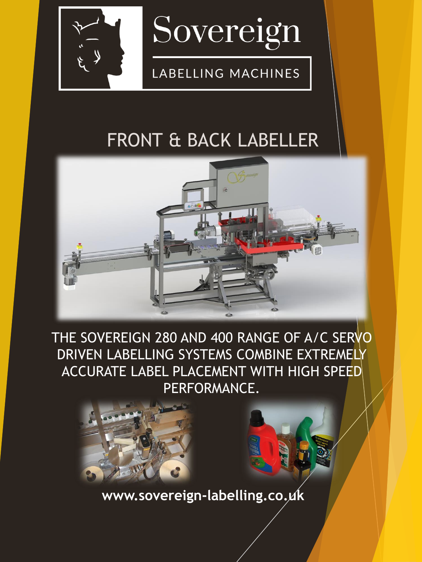

# FRONT & BACK LABELLER



THE SOVEREIGN 280 AND 400 RANGE OF A/C SERVO DRIVEN LABELLING SYSTEMS COMBINE EXTREMELY ACCURATE LABEL PLACEMENT WITH HIGH SPEED PERFORMANCE.



**www.sovereign-labelling.co.uk**